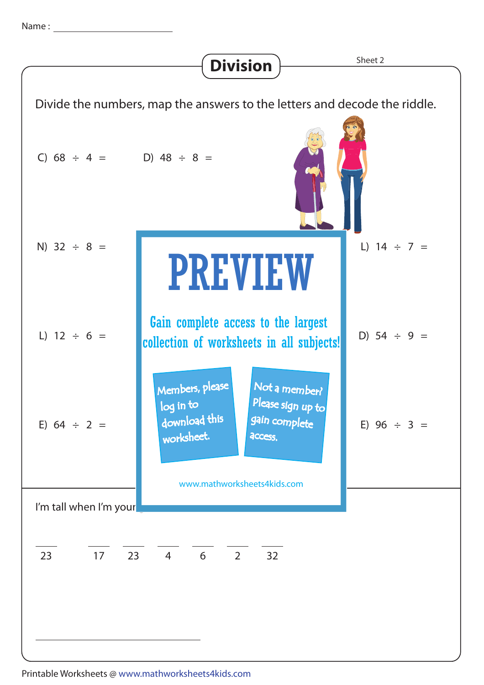